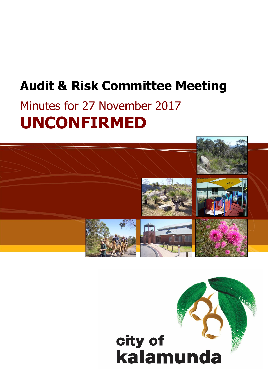# **Audit & Risk Committee Meeting**

# Minutes for 27 November 2017 **UNCONFIRMED**



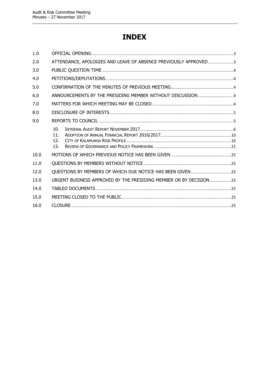## **INDEX**

| 1.0  |                                                                   |  |
|------|-------------------------------------------------------------------|--|
| 2.0  | ATTENDANCE, APOLOGIES AND LEAVE OF ABSENCE PREVIOUSLY APPROVED3   |  |
| 3.0  |                                                                   |  |
| 4.0  |                                                                   |  |
| 5.0  |                                                                   |  |
| 6.0  | ANNOUNCEMENTS BY THE PRESIDING MEMBER WITHOUT DISCUSSION  4       |  |
| 7.0  |                                                                   |  |
| 8.0  |                                                                   |  |
| 9.0  |                                                                   |  |
|      | 10.<br>11.<br>12.<br>13.                                          |  |
| 10.0 |                                                                   |  |
| 11.0 |                                                                   |  |
| 12.0 | QUESTIONS BY MEMBERS OF WHICH DUE NOTICE HAS BEEN GIVEN 25        |  |
| 13.0 | URGENT BUSINESS APPROVED BY THE PRESIDING MEMBER OR BY DECISION25 |  |
| 14.0 |                                                                   |  |
| 15.0 |                                                                   |  |
| 16.0 |                                                                   |  |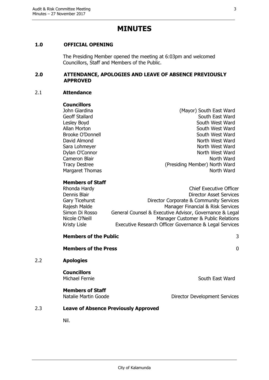### **MINUTES**

#### <span id="page-2-0"></span>**1.0 OFFICIAL OPENING**

The Presiding Member opened the meeting at 6:03pm and welcomed Councillors, Staff and Members of the Public.

#### <span id="page-2-1"></span>**2.0 ATTENDANCE, APOLOGIES AND LEAVE OF ABSENCE PREVIOUSLY APPROVED**

#### 2.1 **Attendance**

#### **Councillors**

Margaret Thomas

John Giardina (Mayor) South East Ward Geoff Stallard South East Ward Lesley Boyd **South West Ward** Allan Morton **South West Ward** Brooke O'Donnell **South West Ward** David Almond North West Ward Sara Lohmeyer North West Ward Dylan O'Connor North West Ward Cameron Blair North Ward Tracy Destree (Presiding Member) North Ward<br>Margaret Thomas (Presiding Member) North Ward

#### **Members of Staff**

| Rhonda Hardy   | <b>Chief Executive Officer</b>                          |
|----------------|---------------------------------------------------------|
| Dennis Blair   | <b>Director Asset Services</b>                          |
| Gary Ticehurst | Director Corporate & Community Services                 |
| Rajesh Malde   | Manager Financial & Risk Services                       |
| Simon Di Rosso | General Counsel & Executive Advisor, Governance & Legal |
| Nicole O'Neill | Manager Customer & Public Relations                     |
| Kristy Lisle   | Executive Research Officer Governance & Legal Services  |
|                |                                                         |

|     | <b>Members of the Public</b>         | 3               |
|-----|--------------------------------------|-----------------|
|     | <b>Members of the Press</b>          | 0               |
| 2.2 | <b>Apologies</b>                     |                 |
|     | <b>Councillors</b><br>Michael Fernie | South East Ward |
|     | <b>Members of Staff</b>              |                 |

Natalie Martin Goode **Director Development Services** 

#### 2.3 **Leave of Absence Previously Approved**

Nil.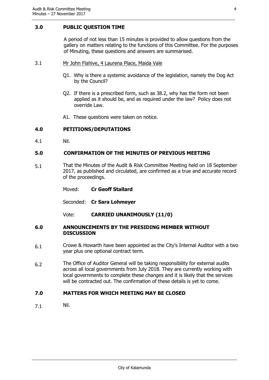#### <span id="page-3-0"></span>**3.0 PUBLIC QUESTION TIME**

A period of not less than 15 minutes is provided to allow questions from the gallery on matters relating to the functions of this Committee. For the purposes of Minuting, these questions and answers are summarised.

#### 3.1 Mr John Flahive, 4 Laurena Place, Maida Vale

- Q1. Why is there a systemic avoidance of the legislation, namely the Dog Act by the Council?
- Q2. If there is a prescribed form, such as 38.2, why has the form not been applied as it should be, and as required under the law? Policy does not override Law.
- A1. These questions were taken on notice.

#### <span id="page-3-1"></span>**4.0 PETITIONS/DEPUTATIONS**

4.1 Nil.

#### <span id="page-3-2"></span>**5.0 CONFIRMATION OF THE MINUTES OF PREVIOUS MEETING**

5.1 That the Minutes of the Audit & Risk Committee Meeting held on 18 September 2017, as published and circulated, are confirmed as a true and accurate record of the proceedings.

| Moved: |  |  | <b>Cr Geoff Stallard</b> |
|--------|--|--|--------------------------|
|--------|--|--|--------------------------|

Seconded: **Cr Sara Lohmeyer**

Vote: **CARRIED UNANIMOUSLY (11/0)**

#### <span id="page-3-3"></span>**6.0 ANNOUNCEMENTS BY THE PRESIDING MEMBER WITHOUT DISCUSSION**

- 6.1 Crowe & Howarth have been appointed as the City's Internal Auditor with a two year plus one optional contract term.
- 6.2 The Office of Auditor General will be taking responsibility for external audits across all local governments from July 2018. They are currently working with local governments to complete these changes and it is likely that the services will be contracted out. The confirmation of these details is yet to come.

#### <span id="page-3-4"></span>**7.0 MATTERS FOR WHICH MEETING MAY BE CLOSED**

7.1 Nil.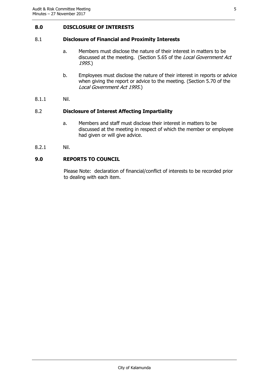#### <span id="page-4-0"></span>**8.0 DISCLOSURE OF INTERESTS**

#### 8.1 **Disclosure of Financial and Proximity Interests**

- a. Members must disclose the nature of their interest in matters to be discussed at the meeting. (Section 5.65 of the *Local Government Act* 1995.)
- b. Employees must disclose the nature of their interest in reports or advice when giving the report or advice to the meeting. (Section 5.70 of the Local Government Act 1995.)
- 8.1.1 Nil.

#### 8.2 **Disclosure of Interest Affecting Impartiality**

- a. Members and staff must disclose their interest in matters to be discussed at the meeting in respect of which the member or employee had given or will give advice.
- 8.2.1 Nil.

#### <span id="page-4-1"></span>**9.0 REPORTS TO COUNCIL**

Please Note: declaration of financial/conflict of interests to be recorded prior to dealing with each item.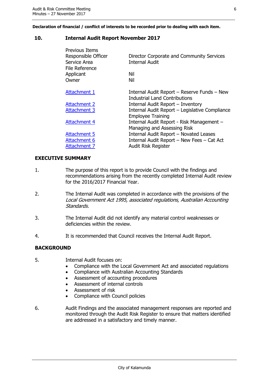**Declaration of financial / conflict of interests to be recorded prior to dealing with each item.**

#### <span id="page-5-0"></span>**10. Internal Audit Report November 2017**

| Previous Items<br>Responsible Officer<br>Service Area<br>File Reference | Director Corporate and Community Services<br><b>Internal Audit</b> |
|-------------------------------------------------------------------------|--------------------------------------------------------------------|
| Applicant                                                               | Nil                                                                |
| Owner                                                                   | Nil                                                                |
|                                                                         |                                                                    |
| Attachment 1                                                            | Internal Audit Report - Reserve Funds - New                        |
|                                                                         | <b>Industrial Land Contributions</b>                               |
| <b>Attachment 2</b>                                                     | Internal Audit Report - Inventory                                  |
| <b>Attachment 3</b>                                                     | Internal Audit Report - Legislative Compliance                     |
|                                                                         | <b>Employee Training</b>                                           |
| <b>Attachment 4</b>                                                     | Internal Audit Report - Risk Management -                          |
|                                                                         | Managing and Assessing Risk                                        |
| <b>Attachment 5</b>                                                     | Internal Audit Report - Novated Leases                             |
| <b>Attachment 6</b>                                                     | Internal Audit Report - New Fees - Cat Act                         |
| <b>Attachment 7</b>                                                     | <b>Audit Risk Register</b>                                         |
|                                                                         |                                                                    |

#### **EXECUTIVE SUMMARY**

- 1. The purpose of this report is to provide Council with the findings and recommendations arising from the recently completed Internal Audit review for the 2016/2017 Financial Year.
- 2. The Internal Audit was completed in accordance with the provisions of the Local Government Act 1995, associated regulations, Australian Accounting Standards.
- 3. The Internal Audit did not identify any material control weaknesses or deficiencies within the review.
- 4. It is recommended that Council receives the Internal Audit Report.

#### **BACKGROUND**

- 5. Internal Audit focuses on:
	- Compliance with the Local Government Act and associated regulations
	- Compliance with Australian Accounting Standards
	- Assessment of accounting procedures
	- Assessment of internal controls
	- Assessment of risk
	- Compliance with Council policies
- 6. Audit Findings and the associated management responses are reported and monitored through the Audit Risk Register to ensure that matters identified are addressed in a satisfactory and timely manner.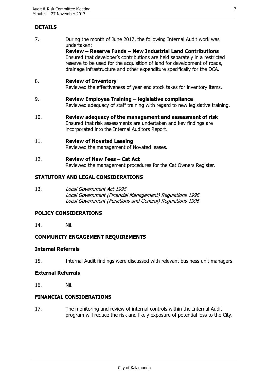### **DETAILS**

7. During the month of June 2017, the following Internal Audit work was undertaken:

**Review – Reserve Funds – New Industrial Land Contributions** Ensured that developer's contributions are held separately in a restricted reserve to be used for the acquisition of land for development of roads, drainage infrastructure and other expenditure specifically for the DCA.

#### 8. **Review of Inventory**

Reviewed the effectiveness of year end stock takes for inventory items.

- 9. **Review Employee Training – legislative compliance** Reviewed adequacy of staff training with regard to new legislative training.
- 10. **Review adequacy of the management and assessment of risk** Ensured that risk assessments are undertaken and key findings are incorporated into the Internal Auditors Report.

#### 11. **Review of Novated Leasing**

Reviewed the management of Novated leases.

12. **Review of New Fees – Cat Act** Reviewed the management procedures for the Cat Owners Register.

#### **STATUTORY AND LEGAL CONSIDERATIONS**

13. Local Government Act 1995 Local Government (Financial Management) Regulations 1996 Local Government (Functions and General) Regulations 1996

#### **POLICY CONSIDERATIONS**

14. Nil.

#### **COMMUNITY ENGAGEMENT REQUIREMENTS**

#### **Internal Referrals**

15. Internal Audit findings were discussed with relevant business unit managers.

#### **External Referrals**

16. Nil.

#### **FINANCIAL CONSIDERATIONS**

17. The monitoring and review of internal controls within the Internal Audit program will reduce the risk and likely exposure of potential loss to the City.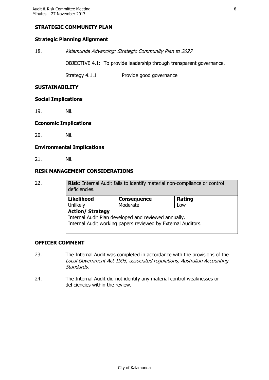#### **STRATEGIC COMMUNITY PLAN**

#### **Strategic Planning Alignment**

18. Kalamunda Advancing: Strategic Community Plan to 2027

OBJECTIVE 4.1: To provide leadership through transparent governance.

Strategy 4.1.1 Provide good governance

#### **SUSTAINABILITY**

#### **Social Implications**

19. Nil.

#### **Economic Implications**

20. Nil.

#### **Environmental Implications**

21. Nil.

#### **RISK MANAGEMENT CONSIDERATIONS**

| 22. | deficiencies.                                                | <b>Risk:</b> Internal Audit fails to identify material non-compliance or control |        |  |
|-----|--------------------------------------------------------------|----------------------------------------------------------------------------------|--------|--|
|     | <b>Likelihood</b>                                            | <b>Consequence</b>                                                               | Rating |  |
|     | Unlikely                                                     | Moderate                                                                         | Low    |  |
|     | <b>Action/ Strategy</b>                                      |                                                                                  |        |  |
|     | Internal Audit Plan developed and reviewed annually.         |                                                                                  |        |  |
|     | Internal Audit working papers reviewed by External Auditors. |                                                                                  |        |  |

#### **OFFICER COMMENT**

- 23. The Internal Audit was completed in accordance with the provisions of the Local Government Act 1995, associated regulations, Australian Accounting Standards.
- 24. The Internal Audit did not identify any material control weaknesses or deficiencies within the review.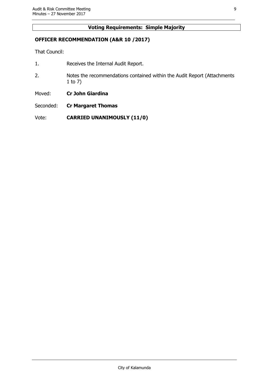#### **Voting Requirements: Simple Majority**

#### **OFFICER RECOMMENDATION (A&R 10 /2017)**

That Council:

- 1. Receives the Internal Audit Report.
- 2. Notes the recommendations contained within the Audit Report (Attachments 1 to 7)
- Moved: **Cr John Giardina**
- Seconded: **Cr Margaret Thomas**

Vote: **CARRIED UNANIMOUSLY (11/0)**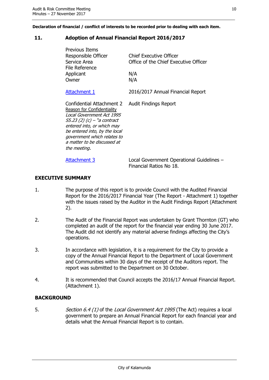**Declaration of financial / conflict of interests to be recorded prior to dealing with each item.**

#### <span id="page-9-0"></span>**11. Adoption of Annual Financial Report 2016/2017**

| Previous Items<br>Responsible Officer<br>Service Area<br>File Reference<br>Applicant<br>Owner                                                                                                                                                                      | <b>Chief Executive Officer</b><br>Office of the Chief Executive Officer<br>N/A<br>N/A |
|--------------------------------------------------------------------------------------------------------------------------------------------------------------------------------------------------------------------------------------------------------------------|---------------------------------------------------------------------------------------|
| <b>Attachment 1</b>                                                                                                                                                                                                                                                | 2016/2017 Annual Financial Report                                                     |
| Confidential Attachment 2<br>Reason for Confidentiality<br>Local Government Act 1995<br>$55.23$ (2) (c) – "a contract<br>entered into, or which may<br>be entered into, by the local<br>government which relates to<br>a matter to be discussed at<br>the meeting. | <b>Audit Findings Report</b>                                                          |
| <b>Attachment 3</b>                                                                                                                                                                                                                                                | Local Government Operational Guidelines -<br>Financial Ratios No 18.                  |

#### **EXECUTIVE SUMMARY**

- 1. The purpose of this report is to provide Council with the Audited Financial Report for the 2016/2017 Financial Year (The Report - Attachment 1) together with the issues raised by the Auditor in the Audit Findings Report (Attachment 2).
- 2. The Audit of the Financial Report was undertaken by Grant Thornton (GT) who completed an audit of the report for the financial year ending 30 June 2017. The Audit did not identify any material adverse findings affecting the City's operations.
- 3. In accordance with legislation, it is a requirement for the City to provide a copy of the Annual Financial Report to the Department of Local Government and Communities within 30 days of the receipt of the Auditors report. The report was submitted to the Department on 30 October.
- 4. It is recommended that Council accepts the 2016/17 Annual Financial Report. (Attachment 1).

#### **BACKGROUND**

5. Section 6.4 (1) of the Local Government Act 1995 (The Act) requires a local government to prepare an Annual Financial Report for each financial year and details what the Annual Financial Report is to contain.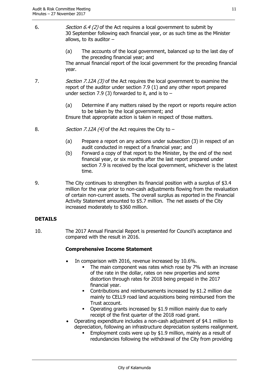- 6. Section 6.4 (2) of the Act requires a local government to submit by 30 September following each financial year, or as such time as the Minister allows, to its auditor  $-$ 
	- (a) The accounts of the local government, balanced up to the last day of the preceding financial year; and

The annual financial report of the local government for the preceding financial year.

7. Section 7.12A (3) of the Act requires the local government to examine the report of the auditor under section 7.9 (1) and any other report prepared under section 7.9 (3) forwarded to it, and is to  $-$ 

> (a) Determine if any matters raised by the report or reports require action to be taken by the local government; and

Ensure that appropriate action is taken in respect of those matters.

- 8. *Section 7.12A (4)* of the Act requires the City to  $-$ 
	- (a) Prepare a report on any actions under subsection (3) in respect of an audit conducted in respect of a financial year; and
	- (b) Forward a copy of that report to the Minister, by the end of the next financial year, or six months after the last report prepared under section 7.9 is received by the local government, whichever is the latest time.
- 9. The City continues to strengthen its financial position with a surplus of \$3.4 million for the year prior to non-cash adjustments flowing from the revaluation of certain non-current assets. The overall surplus as reported in the Financial Activity Statement amounted to \$5.7 million. The net assets of the City increased moderately to \$360 million.

#### **DETAILS**

10. The 2017 Annual Financial Report is presented for Council's acceptance and compared with the result in 2016.

### **Comprehensive Income Statement**

- In comparison with 2016, revenue increased by 10.6%.
	- The main component was rates which rose by 7% with an increase of the rate in the dollar, rates on new properties and some distortion through rates for 2018 being prepaid in the 2017 financial year.
	- Contributions and reimbursements increased by \$1.2 million due mainly to CELL9 road land acquisitions being reimbursed from the Trust account.
	- Operating grants increased by \$1.9 million mainly due to early receipt of the first quarter of the 2018 road grant.
- Operating expenditure includes a non-cash adjustment of \$4.1 million to depreciation, following an infrastructure depreciation systems realignment.
	- Employment costs were up by \$1.9 million, mainly as a result of redundancies following the withdrawal of the City from providing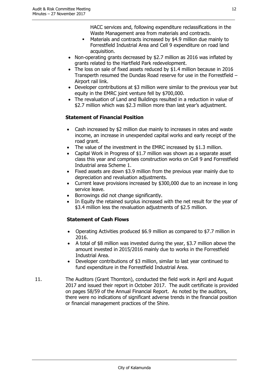HACC services and, following expenditure reclassifications in the Waste Management area from materials and contracts.

- Materials and contracts increased by \$4.9 million due mainly to Forrestfield Industrial Area and Cell 9 expenditure on road land acquisition.
- Non-operating grants decreased by \$2.7 million as 2016 was inflated by grants related to the Hartfield Park redevelopment.
- The loss on sale of fixed assets reduced by \$1.4 million because in 2016 Transperth resumed the Dundas Road reserve for use in the Forrestfield – Airport rail link.
- Developer contributions at \$3 million were similar to the previous year but equity in the EMRC joint venture fell by \$700,000.
- The revaluation of Land and Buildings resulted in a reduction in value of \$2.7 million which was \$2.3 million more than last year's adjustment.

### **Statement of Financial Position**

- Cash increased by \$2 million due mainly to increases in rates and waste income, an increase in unexpended capital works and early receipt of the road grant.
- The value of the investment in the EMRC increased by \$1.3 million.
- Capital Work in Progress of \$1.7 million was shown as a separate asset class this year and comprises construction works on Cell 9 and Forrestfield Industrial area Scheme 1.
- Fixed assets are down \$3.9 million from the previous year mainly due to depreciation and revaluation adjustments.
- Current leave provisions increased by \$300,000 due to an increase in long service leave.
- Borrowings did not change significantly.
- In Equity the retained surplus increased with the net result for the year of \$3.4 million less the revaluation adjustments of \$2.5 million.

### **Statement of Cash Flows**

- Operating Activities produced \$6.9 million as compared to \$7.7 million in 2016.
- A total of \$8 million was invested during the year, \$3.7 million above the amount invested in 2015/2016 mainly due to works in the Forrestfield Industrial Area.
- Developer contributions of \$3 million, similar to last year continued to fund expenditure in the Forrestfield Industrial Area.
- 11. The Auditors (Grant Thornton), conducted the field work in April and August 2017 and issued their report in October 2017. The audit certificate is provided on pages 58/59 of the Annual Financial Report. As noted by the auditors, there were no indications of significant adverse trends in the financial position or financial management practices of the Shire.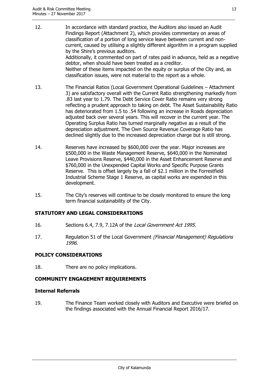- 12. In accordance with standard practice, the Auditors also issued an Audit Findings Report (Attachment 2), which provides commentary on areas of classification of a portion of long service leave between current and noncurrent, caused by utilising a slightly different algorithm in a program supplied by the Shire's previous auditors. Additionally, it commented on part of rates paid in advance, held as a negative debtor, when should have been treated as a creditor. Neither of these items impacted on the equity or surplus of the City and, as classification issues, were not material to the report as a whole.
- 13. The Financial Ratios (Local Government Operational Guidelines Attachment 3) are satisfactory overall with the Current Ratio strengthening markedly from .83 last year to 1.79. The Debt Service Cover Ratio remains very strong reflecting a prudent approach to taking on debt. The Asset Sustainability Ratio has deteriorated from 1.5 to .54 following an increase in Roads depreciation adjusted back over several years. This will recover in the current year. The Operating Surplus Ratio has turned marginally negative as a result of the depreciation adjustment. The Own Source Revenue Coverage Ratio has declined slightly due to the increased depreciation charge but is still strong.
- 14. Reserves have increased by \$600,000 over the year. Major increases are \$500,000 in the Waste Management Reserve, \$640,000 in the Nominated Leave Provisions Reserve, \$440,000 in the Asset Enhancement Reserve and \$760,000 in the Unexpended Capital Works and Specific Purpose Grants Reserve. This is offset largely by a fall of \$2.1 million in the Forrestfield Industrial Scheme Stage 1 Reserve, as capital works are expended in this development.
- 15. The City's reserves will continue to be closely monitored to ensure the long term financial sustainability of the City.

#### **STATUTORY AND LEGAL CONSIDERATIONS**

- 16. Sections 6.4, 7.9, 7.12A of the Local Government Act 1995.
- 17. Regulation 51 of the Local Government (Financial Management) Regulations 1996.

#### **POLICY CONSIDERATIONS**

18. There are no policy implications.

#### **COMMUNITY ENGAGEMENT REQUIREMENTS**

#### **Internal Referrals**

19. The Finance Team worked closely with Auditors and Executive were briefed on the findings associated with the Annual Financial Report 2016/17.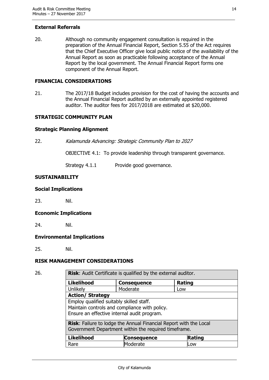#### **External Referrals**

20. Although no community engagement consultation is required in the preparation of the Annual Financial Report, Section 5.55 of the Act requires that the Chief Executive Officer give local public notice of the availability of the Annual Report as soon as practicable following acceptance of the Annual Report by the local government. The Annual Financial Report forms one component of the Annual Report.

#### **FINANCIAL CONSIDERATIONS**

21. The 2017/18 Budget includes provision for the cost of having the accounts and the Annual Financial Report audited by an externally appointed registered auditor. The auditor fees for 2017/2018 are estimated at \$20,000.

#### **STRATEGIC COMMUNITY PLAN**

#### **Strategic Planning Alignment**

22. Kalamunda Advancing: Strategic Community Plan to 2027

OBJECTIVE 4.1: To provide leadership through transparent governance.

Strategy 4.1.1 Provide good governance.

#### **SUSTAINABILITY**

#### **Social Implications**

23. Nil.

#### **Economic Implications**

24. Nil.

#### **Environmental Implications**

25. Nil.

#### **RISK MANAGEMENT CONSIDERATIONS**

26. **Risk**: Audit Certificate is qualified by the external auditor.

| <b>Likelihood</b>                                                                                                                        | <b>Consequence</b> | <b>Rating</b> |
|------------------------------------------------------------------------------------------------------------------------------------------|--------------------|---------------|
| Unlikely                                                                                                                                 | Moderate           | Low           |
| <b>Action/ Strategy</b>                                                                                                                  |                    |               |
| Employ qualified suitably skilled staff.<br>Maintain controls and compliance with policy.<br>Ensure an effective internal audit program. |                    |               |
| Risk: Failure to lodge the Annual Financial Report with the Local<br>Government Department within the required timeframe.                |                    |               |
| <b>Likelihood</b>                                                                                                                        | <b>Consequence</b> | <b>Rating</b> |
| Rare                                                                                                                                     | Moderate           | Low           |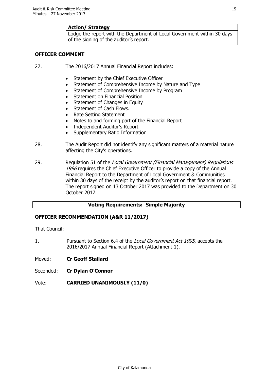#### **Action/ Strategy**

Lodge the report with the Department of Local Government within 30 days of the signing of the auditor's report.

#### **OFFICER COMMENT**

- 27. The 2016/2017 Annual Financial Report includes:
	- Statement by the Chief Executive Officer
	- Statement of Comprehensive Income by Nature and Type
	- Statement of Comprehensive Income by Program
	- Statement on Financial Position
	- Statement of Changes in Equity
	- Statement of Cash Flows.
	- Rate Setting Statement
	- Notes to and forming part of the Financial Report
	- Independent Auditor's Report
	- Supplementary Ratio Information
- 28. The Audit Report did not identify any significant matters of a material nature affecting the City's operations.
- 29. Regulation 51 of the Local Government (Financial Management) Regulations 1996 requires the Chief Executive Officer to provide a copy of the Annual Financial Report to the Department of Local Government & Communities within 30 days of the receipt by the auditor's report on that financial report. The report signed on 13 October 2017 was provided to the Department on 30 October 2017.

#### **Voting Requirements: Simple Majority**

#### **OFFICER RECOMMENDATION (A&R 11/2017)**

That Council:

1. Pursuant to Section 6.4 of the Local Government Act 1995, accepts the 2016/2017 Annual Financial Report (Attachment 1).

Moved: **Cr Geoff Stallard**

- Seconded: **Cr Dylan O'Connor**
- Vote: **CARRIED UNANIMOUSLY (11/0)**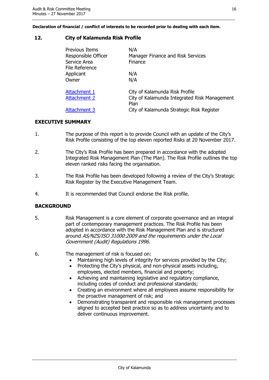**Declaration of financial / conflict of interests to be recorded prior to dealing with each item.**

#### <span id="page-15-0"></span>**12. City of Kalamunda Risk Profile**

| Previous Items<br>Responsible Officer<br>Service Area<br>File Reference | N/A<br>Manager Finance and Risk Services<br>Finance  |
|-------------------------------------------------------------------------|------------------------------------------------------|
| Applicant<br>Owner                                                      | N/A<br>N/A                                           |
|                                                                         |                                                      |
| Attachment 1                                                            | City of Kalamunda Risk Profile                       |
| <b>Attachment 2</b>                                                     | City of Kalamunda Integrated Risk Management<br>Plan |
| Attachment 3                                                            | City of Kalamunda Strategic Risk Register            |

#### **EXECUTIVE SUMMARY**

- 1. The purpose of this report is to provide Council with an update of the City's Risk Profile consisting of the top eleven reported Risks at 20 November 2017.
- 2. The City's Risk Profile has been prepared in accordance with the adopted Integrated Risk Management Plan (The Plan). The Risk Profile outlines the top eleven ranked risks facing the organisation.
- 3. The Risk Profile has been developed following a review of the City's Strategic Risk Register by the Executive Management Team.
- 4. It is recommended that Council endorse the Risk profile.

#### **BACKGROUND**

5. Risk Management is a core element of corporate governance and an integral part of contemporary management practices. The Risk Profile has been adopted in accordance with the Risk Management Plan and is structured around AS/NZS/ISO 31000:2009 and the requirements under the Local Government (Audit) Regulations 1996.

6. The management of risk is focused on:

- Maintaining high levels of integrity for services provided by the City;
- Protecting the City's physical, and non-physical assets including, employees, elected members, financial and property;
- Achieving and maintaining legislative and regulatory compliance, including codes of conduct and professional standards;
- Creating an environment where all employees assume responsibility for the proactive management of risk; and
- Demonstrating transparent and responsible risk management processes aligned to accepted best practice so as to address uncertainty and to deliver continuous improvement.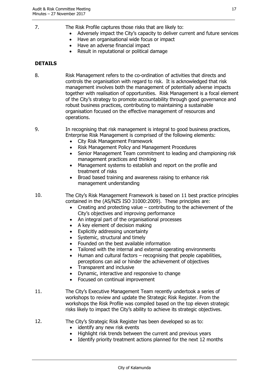- 
- 7. The Risk Profile captures those risks that are likely to:
	- Adversely impact the City's capacity to deliver current and future services
	- Have an organisational wide focus or impact
	- Have an adverse financial impact
	- Result in reputational or political damage

#### **DETAILS**

8. Risk Management refers to the co-ordination of activities that directs and controls the organisation with regard to risk. It is acknowledged that risk management involves both the management of potentially adverse impacts together with realisation of opportunities. Risk Management is a focal element of the City's strategy to promote accountability through good governance and robust business practices, contributing to maintaining a sustainable organisation focused on the effective management of resources and operations.

9. In recognising that risk management is integral to good business practices, Enterprise Risk Management is comprised of the following elements:

- City Risk Management Framework
- Risk Management Policy and Management Procedures
- Senior Management Team commitment to leading and championing risk management practices and thinking
- Management systems to establish and report on the profile and treatment of risks
- Broad based training and awareness raising to enhance risk management understanding
- 10. The City's Risk Management Framework is based on 11 best practice principles contained in the (AS/NZS ISO 31000:2009). These principles are:
	- Creating and protecting value contributing to the achievement of the City's objectives and improving performance
	- An integral part of the organisational processes
	- A key element of decision making
	- Explicitly addressing uncertainty
	- Systemic, structural and timely
	- Founded on the best available information
	- Tailored with the internal and external operating environments
	- $\bullet$  Human and cultural factors recognising that people capabilities, perceptions can aid or hinder the achievement of objectives
	- Transparent and inclusive
	- Dynamic, interactive and responsive to change
	- Focused on continual improvement
- 11. The City's Executive Management Team recently undertook a series of workshops to review and update the Strategic Risk Register. From the workshops the Risk Profile was compiled based on the top eleven strategic risks likely to impact the City's ability to achieve its strategic objectives.
- 12. The City's Strategic Risk Register has been developed so as to:
	- identify any new risk events
	- Highlight risk trends between the current and previous years
	- Identify priority treatment actions planned for the next 12 months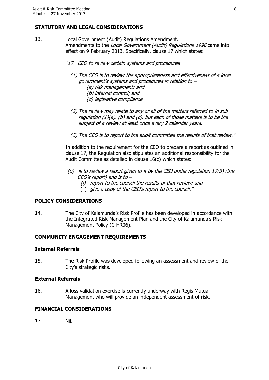#### **STATUTORY AND LEGAL CONSIDERATIONS**

- 13. Local Government (Audit) Regulations Amendment. Amendments to the *Local Government (Audit) Regulations 1996* came into effect on 9 February 2013. Specifically, clause 17 which states:
	- "17. CEO to review certain systems and procedures
		- (1) The CEO is to review the appropriateness and effectiveness of a local government's systems and procedures in relation to –
			- (a) risk management; and
			- (b) internal control; and
			- (c) legislative compliance
		- (2) The review may relate to any or all of the matters referred to in sub requlation  $(1)(a)$ ,  $(b)$  and  $(c)$ , but each of those matters is to be the subject of a review at least once every 2 calendar years.
		- (3) The CEO is to report to the audit committee the results of that review."

In addition to the requirement for the CEO to prepare a report as outlined in clause 17, the Regulation also stipulates an additional responsibility for the Audit Committee as detailed in clause 16(c) which states:

- $\Gamma(c)$  is to review a report given to it by the CEO under regulation 17(3) (the CEO's report) and is to –
	- (i) report to the council the results of that review; and
	- (ii) give a copy of the CEO's report to the council."

#### **POLICY CONSIDERATIONS**

14. The City of Kalamunda's Risk Profile has been developed in accordance with the Integrated Risk Management Plan and the City of Kalamunda's Risk Management Policy (C-HR06).

#### **COMMUNITY ENGAGEMENT REQUIREMENTS**

#### **Internal Referrals**

15. The Risk Profile was developed following an assessment and review of the City's strategic risks.

#### **External Referrals**

16. A loss validation exercise is currently underway with Regis Mutual Management who will provide an independent assessment of risk.

#### **FINANCIAL CONSIDERATIONS**

17. Nil.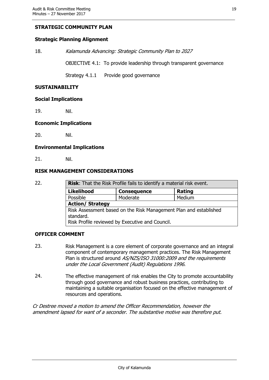#### **STRATEGIC COMMUNITY PLAN**

#### **Strategic Planning Alignment**

18. Kalamunda Advancing: Strategic Community Plan to 2027

OBJECTIVE 4.1: To provide leadership through transparent governance

Strategy 4.1.1 Provide good governance

#### **SUSTAINABILITY**

#### **Social Implications**

19. Nil.

#### **Economic Implications**

20. Nil.

#### **Environmental Implications**

21. Nil.

#### **RISK MANAGEMENT CONSIDERATIONS**

| 22. | Risk: That the Risk Profile fails to identify a material risk event.                                                              |                    |        |  |
|-----|-----------------------------------------------------------------------------------------------------------------------------------|--------------------|--------|--|
|     | <b>Likelihood</b>                                                                                                                 | <b>Consequence</b> | Rating |  |
|     | Possible                                                                                                                          | Moderate           | Medium |  |
|     | <b>Action/ Strategy</b>                                                                                                           |                    |        |  |
|     | Risk Assessment based on the Risk Management Plan and established<br>standard.<br>Risk Profile reviewed by Executive and Council. |                    |        |  |

#### **OFFICER COMMENT**

- 23. Risk Management is a core element of corporate governance and an integral component of contemporary management practices. The Risk Management Plan is structured around AS/NZS/ISO 31000:2009 and the requirements under the Local Government (Audit) Regulations 1996.
- 24. The effective management of risk enables the City to promote accountability through good governance and robust business practices, contributing to maintaining a suitable organisation focused on the effective management of resources and operations.

Cr Destree moved a motion to amend the Officer Recommendation, however the amendment lapsed for want of a seconder. The substantive motive was therefore put.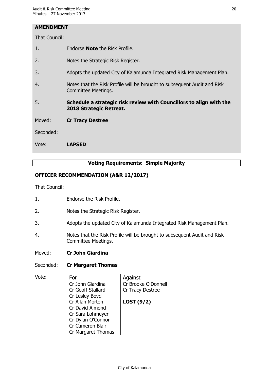#### **AMENDMENT**

That Council:

- 1. Endorse **Note** the Risk Profile.
- 2. Notes the Strategic Risk Register.
- 3. Adopts the updated City of Kalamunda Integrated Risk Management Plan.
- 4. Notes that the Risk Profile will be brought to subsequent Audit and Risk Committee Meetings.
- 5. **Schedule a strategic risk review with Councillors to align with the 2018 Strategic Retreat.**

Moved: **Cr Tracy Destree**

Seconded:

Vote: **LAPSED**

#### **Voting Requirements: Simple Majority**

#### **OFFICER RECOMMENDATION (A&R 12/2017)**

That Council:

- 1. Endorse the Risk Profile.
- 2. Notes the Strategic Risk Register.
- 3. Adopts the updated City of Kalamunda Integrated Risk Management Plan.
- 4. Notes that the Risk Profile will be brought to subsequent Audit and Risk Committee Meetings.
- Moved: **Cr John Giardina**

#### Seconded: **Cr Margaret Thomas**

| Vote: | For                | Against             |
|-------|--------------------|---------------------|
|       | Cr John Giardina   | Cr Brooke O'Donnell |
|       | Cr Geoff Stallard  | Cr Tracy Destree    |
|       | Cr Lesley Boyd     |                     |
|       | Cr Allan Morton    | LOST $(9/2)$        |
|       | Cr David Almond    |                     |
|       | Cr Sara Lohmeyer   |                     |
|       | Cr Dylan O'Connor  |                     |
|       | Cr Cameron Blair   |                     |
|       | Cr Margaret Thomas |                     |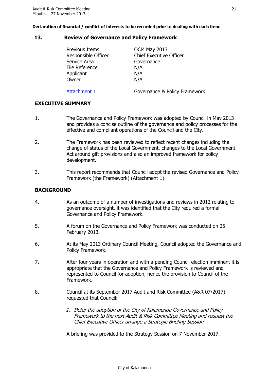**Declaration of financial / conflict of interests to be recorded prior to dealing with each item.**

#### <span id="page-20-0"></span>**13. Review of Governance and Policy Framework**

| Previous Items<br>Responsible Officer<br>Service Area<br><b>File Reference</b><br>Applicant | OCM May 2013<br><b>Chief Executive Officer</b><br>Governance<br>N/A<br>N/A |
|---------------------------------------------------------------------------------------------|----------------------------------------------------------------------------|
| Owner                                                                                       | N/A                                                                        |
| Attachment 1                                                                                | Governance & Policy Framework                                              |

### **EXECUTIVE SUMMARY**

- 1. The Governance and Policy Framework was adopted by Council in May 2013 and provides a concise outline of the governance and policy processes for the effective and compliant operations of the Council and the City.
- 2. The Framework has been reviewed to reflect recent changes including the change of status of the Local Government, changes to the Local Government Act around gift provisions and also an improved framework for policy development.
- 3. This report recommends that Council adopt the revised Governance and Policy Framework (the Framework) (Attachment 1).

#### **BACKGROUND**

- 4. As an outcome of a number of investigations and reviews in 2012 relating to governance oversight, it was identified that the City required a formal Governance and Policy Framework.
- 5. A forum on the Governance and Policy Framework was conducted on 25 February 2013.
- 6. At its May 2013 Ordinary Council Meeting, Council adopted the Governance and Policy Framework.
- 7. After four years in operation and with a pending Council election imminent it is appropriate that the Governance and Policy Framework is reviewed and represented to Council for adoption, hence the provision to Council of the Framework.
- 8. Council at its September 2017 Audit and Risk Committee (A&R 07/2017) requested that Council:
	- 1. Defer the adoption of the City of Kalamunda Governance and Policy Framework to the next Audit & Risk Committee Meeting and request the Chief Executive Officer arrange a Strategic Briefing Session.

A briefing was provided to the Strategy Session on 7 November 2017.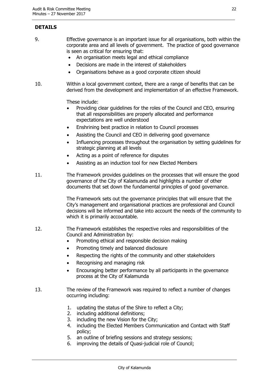### **DETAILS**

- 9. Effective governance is an important issue for all organisations, both within the corporate area and all levels of government. The practice of good governance is seen as critical for ensuring that:
	- An organisation meets legal and ethical compliance
	- Decisions are made in the interest of stakeholders
	- Organisations behave as a good corporate citizen should
- 10. Within a local government context, there are a range of benefits that can be derived from the development and implementation of an effective Framework.

These include:

- Providing clear guidelines for the roles of the Council and CEO, ensuring that all responsibilities are properly allocated and performance expectations are well understood
- Enshrining best practice in relation to Council processes
- Assisting the Council and CEO in delivering good governance
- Influencing processes throughout the organisation by setting guidelines for strategic planning at all levels
- Acting as a point of reference for disputes
- Assisting as an induction tool for new Elected Members
- 11. The Framework provides guidelines on the processes that will ensure the good governance of the City of Kalamunda and highlights a number of other documents that set down the fundamental principles of good governance.

The Framework sets out the governance principles that will ensure that the City's management and organisational practices are professional and Council decisions will be informed and take into account the needs of the community to which it is primarily accountable.

- 12. The Framework establishes the respective roles and responsibilities of the Council and Administration by:
	- Promoting ethical and responsible decision making
	- Promoting timely and balanced disclosure
	- Respecting the rights of the community and other stakeholders
	- Recognising and managing risk
	- Encouraging better performance by all participants in the governance process at the City of Kalamunda
- 13. The review of the Framework was required to reflect a number of changes occurring including:
	- 1. updating the status of the Shire to reflect a City;
	- 2. including additional definitions;
	- 3. including the new Vision for the City;
	- 4. including the Elected Members Communication and Contact with Staff policy;
	- 5. an outline of briefing sessions and strategy sessions;
	- 6. improving the details of Quasi-judicial role of Council;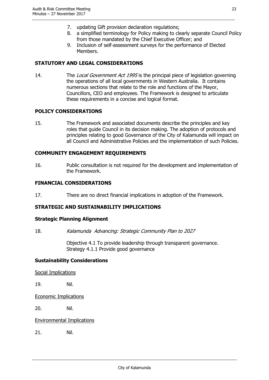- 7. updating Gift provision declaration regulations;
- 8. a simplified terminology for Policy making to clearly separate Council Policy from those mandated by the Chief Executive Officer; and
- 9. Inclusion of self-assessment surveys for the performance of Elected Members.

#### **STATUTORY AND LEGAL CONSIDERATIONS**

14. The Local Government Act 1995 is the principal piece of legislation governing the operations of all local governments in Western Australia. It contains numerous sections that relate to the role and functions of the Mayor, Councillors, CEO and employees. The Framework is designed to articulate these requirements in a concise and logical format.

#### **POLICY CONSIDERATIONS**

15. The Framework and associated documents describe the principles and key roles that guide Council in its decision making. The adoption of protocols and principles relating to good Governance of the City of Kalamunda will impact on all Council and Administrative Policies and the implementation of such Policies.

#### **COMMUNITY ENGAGEMENT REQUIREMENTS**

16. Public consultation is not required for the development and implementation of the Framework.

#### **FINANCIAL CONSIDERATIONS**

17. There are no direct financial implications in adoption of the Framework.

#### **STRATEGIC AND SUSTAINABILITY IMPLICATIONS**

#### **Strategic Planning Alignment**

18. Kalamunda Advancing: Strategic Community Plan to 2027

Objective 4.1 To provide leadership through transparent governance. Strategy 4.1.1 Provide good governance

#### **Sustainability Considerations**

Social Implications

19. Nil.

Economic Implications

20. Nil.

Environmental Implications

21. Nil.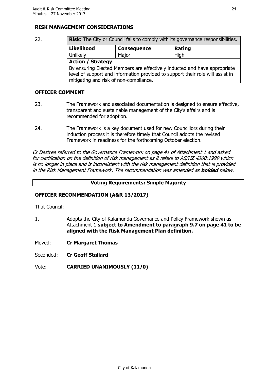#### **RISK MANAGEMENT CONSIDERATIONS**

| 22. | Risk: The City or Council fails to comply with its governance responsibilities.                                                                                                                       |                    |               |
|-----|-------------------------------------------------------------------------------------------------------------------------------------------------------------------------------------------------------|--------------------|---------------|
|     | <b>Likelihood</b>                                                                                                                                                                                     | <b>Consequence</b> | <b>Rating</b> |
|     | Unlikely                                                                                                                                                                                              | Major              | High          |
|     | <b>Action / Strategy</b>                                                                                                                                                                              |                    |               |
|     | By ensuring Elected Members are effectively inducted and have appropriate<br>level of support and information provided to support their role will assist in<br>mitigating and risk of non-compliance. |                    |               |

#### **OFFICER COMMENT**

- 23. The Framework and associated documentation is designed to ensure effective, transparent and sustainable management of the City's affairs and is recommended for adoption.
- 24. The Framework is a key document used for new Councillors during their induction process it is therefore timely that Council adopts the revised Framework in readiness for the forthcoming October election.

Cr Destree referred to the Governance Framework on page 41 of Attachment 1 and asked for clarification on the definition of risk management as it refers to AS/NZ 4360:1999 which is no longer in place and is inconsistent with the risk management definition that is provided in the Risk Management Framework. The recommendation was amended as **bolded** below.

#### **Voting Requirements: Simple Majority**

#### **OFFICER RECOMMENDATION (A&R 13/2017)**

That Council:

1. Adopts the City of Kalamunda Governance and Policy Framework shown as Attachment 1 **subject to Amendment to paragraph 9.7 on page 41 to be aligned with the Risk Management Plan definition.**

Moved: **Cr Margaret Thomas**

Seconded: **Cr Geoff Stallard**

Vote: **CARRIED UNANIMOUSLY (11/0)**